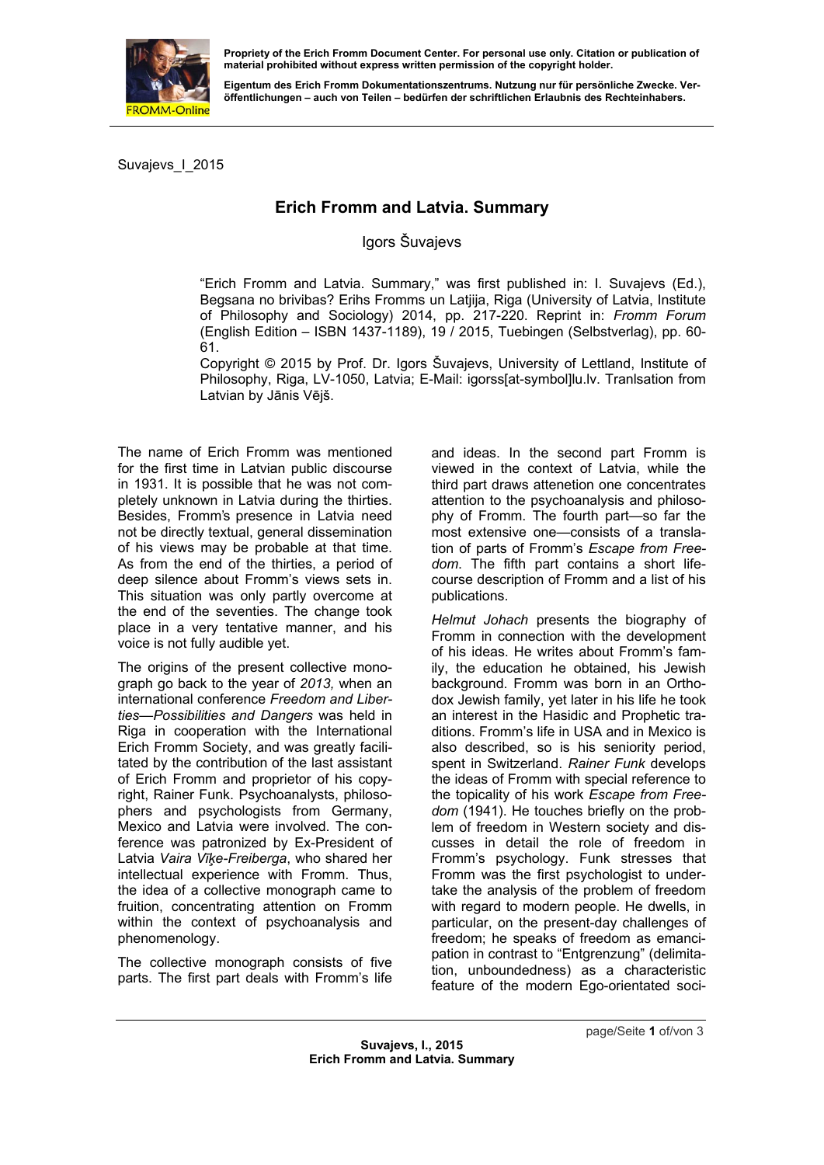

**material prohibited without express written permission of the copyright holder.** 

**Eigentum des Erich Fromm Dokumentationszentrums. Nutzung nur für persönliche Zwecke. Veröffentlichungen – auch von Teilen – bedürfen der schriftlichen Erlaubnis des Rechteinhabers.** 

Suvajevs\_I\_2015

## **Erich Fromm and Latvia. Summary**

## Igors Šuvajevs

"Erich Fromm and Latvia. Summary," was first published in: I. Suvajevs (Ed.), Begsana no brivibas? Erihs Fromms un Latjija, Riga (University of Latvia, Institute of Philosophy and Sociology) 2014, pp. 217-220. Reprint in: *Fromm Forum* (English Edition – ISBN 1437-1189), 19 / 2015, Tuebingen (Selbstverlag), pp. 60- 61.

Copyright © 2015 by Prof. Dr. Igors Šuvajevs, University of Lettland, Institute of Philosophy, Riga, LV-1050, Latvia; E-Mail: igorss[at-symbol]lu.lv. Tranlsation from Latvian by Jānis Vējš.

The name of Erich Fromm was mentioned for the first time in Latvian public discourse in 1931. It is possible that he was not completely unknown in Latvia during the thirties. Besides, Fromm's presence in Latvia need not be directly textual, general dissemination of his views may be probable at that time. As from the end of the thirties, a period of deep silence about Fromm's views sets in. This situation was only partly overcome at the end of the seventies. The change took place in a very tentative manner, and his voice is not fully audible yet.

The origins of the present collective monograph go back to the year of *2013,* when an international conference *Freedom and Liberties—Possibilities and Dangers* was held in Riga in cooperation with the International Erich Fromm Society, and was greatly facilitated by the contribution of the last assistant of Erich Fromm and proprietor of his copyright, Rainer Funk. Psychoanalysts, philosophers and psychologists from Germany, Mexico and Latvia were involved. The conference was patronized by Ex-President of Latvia *Vaira Vīķe-Freiberga*, who shared her intellectual experience with Fromm. Thus, the idea of a collective monograph came to fruition, concentrating attention on Fromm within the context of psychoanalysis and phenomenology.

The collective monograph consists of five parts. The first part deals with Fromm's life

and i[deas. In the second](mailto:igorss@lu.lv) part Fromm is viewed in the context of Latvia, while the third part draws attenetion one concentrates attention to the psychoanalysis and philosophy of Fromm. The fourth part—so far the most extensive one—consists of a translation of parts of Fromm's *Escape from Freedom*. The fifth part contains a short lifecourse description of Fromm and a list of his publications.

*Helmut Johach* presents the biography of Fromm in connection with the development of his ideas. He writes about Fromm's family, the education he obtained, his Jewish background. Fromm was born in an Orthodox Jewish family, yet later in his life he took an interest in the Hasidic and Prophetic traditions. Fromm's life in USA and in Mexico is also described, so is his seniority period, spent in Switzerland. *Rainer Funk* develops the ideas of Fromm with special reference to the topicality of his work *Escape from Freedom* (1941). He touches briefly on the problem of freedom in Western society and discusses in detail the role of freedom in Fromm's psychology. Funk stresses that Fromm was the first psychologist to undertake the analysis of the problem of freedom with regard to modern people. He dwells, in particular, on the present-day challenges of freedom; he speaks of freedom as emancipation in contrast to "Entgrenzung" (delimitation, unboundedness) as a characteristic feature of the modern Ego-orientated soci-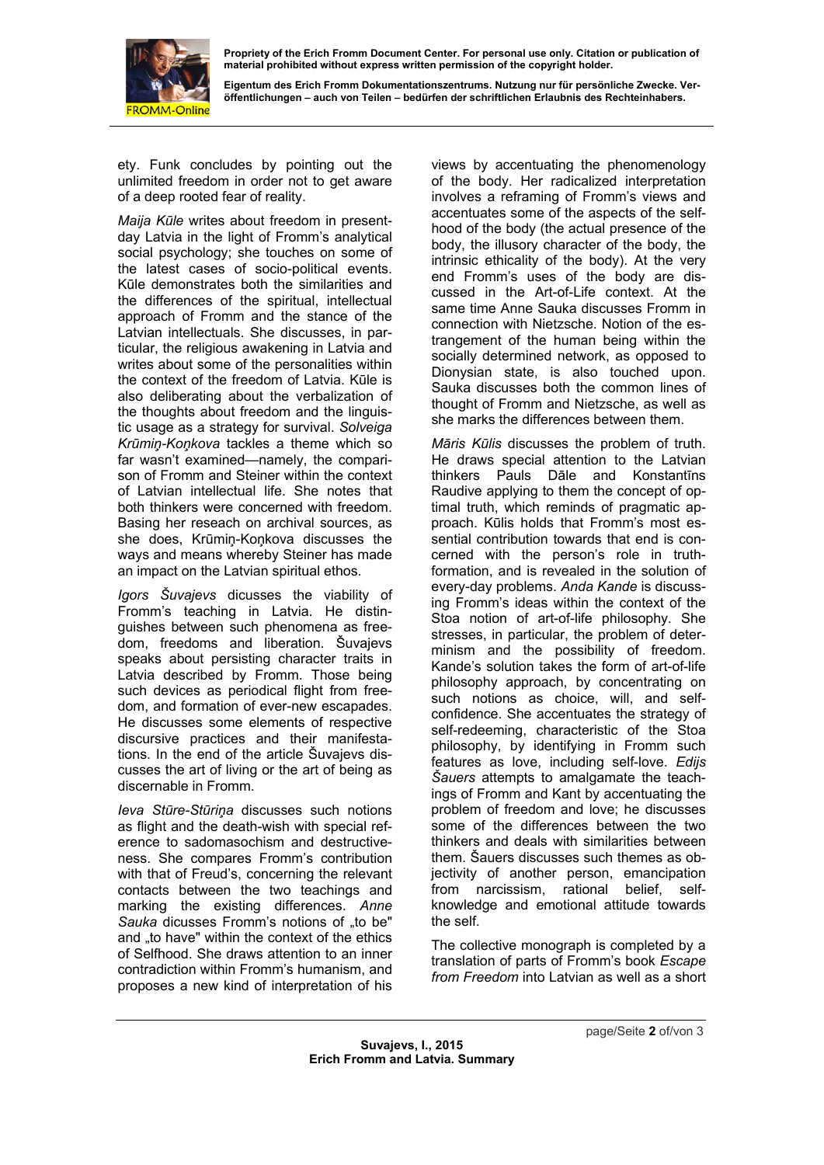

**Propriety of the Erich Fromm Document Center. For personal use only. Citation or publication of material prohibited without express written permission of the copyright holder.** 

**Eigentum des Erich Fromm Dokumentationszentrums. Nutzung nur für persönliche Zwecke. Veröffentlichungen – auch von Teilen – bedürfen der schriftlichen Erlaubnis des Rechteinhabers.** 

ety. Funk concludes by pointing out the unlimited freedom in order not to get aware of a deep rooted fear of reality.

*Maija Kūle* writes about freedom in presentday Latvia in the light of Fromm's analytical social psychology; she touches on some of the latest cases of socio-political events. Kūle demonstrates both the similarities and the differences of the spiritual, intellectual approach of Fromm and the stance of the Latvian intellectuals. She discusses, in particular, the religious awakening in Latvia and writes about some of the personalities within the context of the freedom of Latvia. Kūle is also deliberating about the verbalization of the thoughts about freedom and the linguistic usage as a strategy for survival. *Solveiga Krūmiņ-Koņkova* tackles a theme which so far wasn't examined—namely, the comparison of Fromm and Steiner within the context of Latvian intellectual life. She notes that both thinkers were concerned with freedom. Basing her reseach on archival sources, as she does, Krūmiņ-Koņkova discusses the ways and means whereby Steiner has made an impact on the Latvian spiritual ethos.

*Igors Šuvajevs* dicusses the viability of Fromm's teaching in Latvia. He distinguishes between such phenomena as freedom, freedoms and liberation. Šuvajevs speaks about persisting character traits in Latvia described by Fromm. Those being such devices as periodical flight from freedom, and formation of ever-new escapades. He discusses some elements of respective discursive practices and their manifestations. In the end of the article Šuvajevs discusses the art of living or the art of being as discernable in Fromm.

*Ieva Stūre-Stūriņa* discusses such notions as flight and the death-wish with special reference to sadomasochism and destructiveness. She compares Fromm's contribution with that of Freud's, concerning the relevant contacts between the two teachings and marking the existing differences. *Anne*  Sauka dicusses Fromm's notions of .to be" and "to have" within the context of the ethics of Selfhood. She draws attention to an inner contradiction within Fromm's humanism, and proposes a new kind of interpretation of his

views by accentuating the phenomenology of the body. Her radicalized interpretation involves a reframing of Fromm's views and accentuates some of the aspects of the selfhood of the body (the actual presence of the body, the illusory character of the body, the intrinsic ethicality of the body). At the very end Fromm's uses of the body are discussed in the Art-of-Life context. At the same time Anne Sauka discusses Fromm in connection with Nietzsche. Notion of the estrangement of the human being within the socially determined network, as opposed to Dionysian state, is also touched upon. Sauka discusses both the common lines of thought of Fromm and Nietzsche, as well as she marks the differences between them.

*Māris Kūlis* discusses the problem of truth. He draws special attention to the Latvian thinkers Pauls Dāle and Konstantīns Raudive applying to them the concept of optimal truth, which reminds of pragmatic approach. Kūlis holds that Fromm's most essential contribution towards that end is concerned with the person's role in truthformation, and is revealed in the solution of every-day problems. *Anda Kande* is discussing Fromm's ideas within the context of the Stoa notion of art-of-life philosophy. She stresses, in particular, the problem of determinism and the possibility of freedom. Kande's solution takes the form of art-of-life philosophy approach, by concentrating on such notions as choice, will, and selfconfidence. She accentuates the strategy of self-redeeming, characteristic of the Stoa philosophy, by identifying in Fromm such features as love, including self-love. *Edijs Šauers* attempts to amalgamate the teachings of Fromm and Kant by accentuating the problem of freedom and love; he discusses some of the differences between the two thinkers and deals with similarities between them. Šauers discusses such themes as objectivity of another person, emancipation from narcissism, rational belief, selfknowledge and emotional attitude towards the self.

The collective monograph is completed by a translation of parts of Fromm's book *Escape from Freedom* into Latvian as well as a short